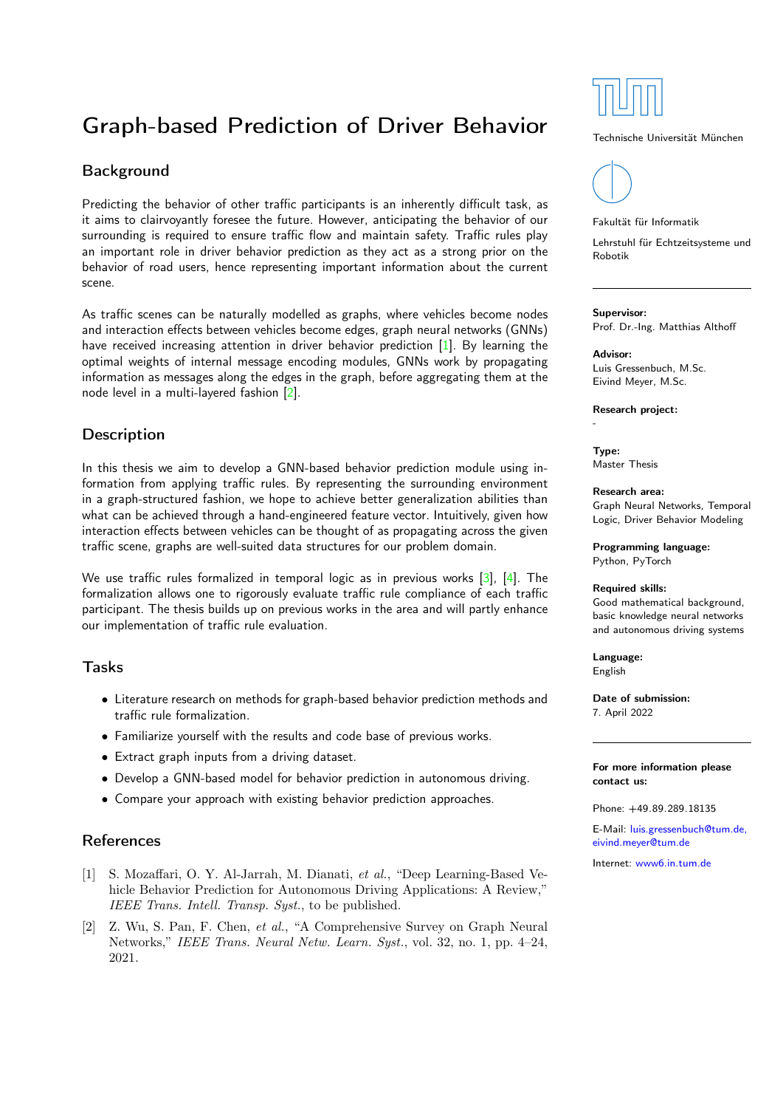# Graph-based Prediction of Driver Behavior

## **Background**

Predicting the behavior of other traffic participants is an inherently difficult task, as it aims to clairvoyantly foresee the future. However, anticipating the behavior of our surrounding is required to ensure traffic flow and maintain safety. Traffic rules play an important role in driver behavior prediction as they act as a strong prior on the behavior of road users, hence representing important information about the current scene.

As traffic scenes can be naturally modelled as graphs, where vehicles become nodes and interaction effects between vehicles become edges, graph neural networks (GNNs) have received increasing attention in driver behavior prediction [\[1\]](#page-0-0). By learning the optimal weights of internal message encoding modules, GNNs work by propagating information as messages along the edges in the graph, before aggregating them at the node level in a multi-layered fashion [\[2\]](#page-0-1).

## **Description**

In this thesis we aim to develop a GNN-based behavior prediction module using information from applying traffic rules. By representing the surrounding environment in a graph-structured fashion, we hope to achieve better generalization abilities than what can be achieved through a hand-engineered feature vector. Intuitively, given how interaction effects between vehicles can be thought of as propagating across the given traffic scene, graphs are well-suited data structures for our problem domain.

We use traffic rules formalized in temporal logic as in previous works [\[3\]](#page-1-0), [\[4\]](#page-1-1). The formalization allows one to rigorously evaluate traffic rule compliance of each traffic participant. The thesis builds up on previous works in the area and will partly enhance our implementation of traffic rule evaluation.

### Tasks

- Literature research on methods for graph-based behavior prediction methods and traffic rule formalization.
- Familiarize yourself with the results and code base of previous works.
- Extract graph inputs from a driving dataset.
- Develop a GNN-based model for behavior prediction in autonomous driving.
- Compare your approach with existing behavior prediction approaches.

## References

- <span id="page-0-0"></span>[1] S. Mozaffari, O. Y. Al-Jarrah, M. Dianati, et al., "Deep Learning-Based Vehicle Behavior Prediction for Autonomous Driving Applications: A Review," IEEE Trans. Intell. Transp. Syst., to be published.
- <span id="page-0-1"></span>[2] Z. Wu, S. Pan, F. Chen, et al., "A Comprehensive Survey on Graph Neural Networks," IEEE Trans. Neural Netw. Learn. Syst., vol. 32, no. 1, pp. 4–24, 2021.



#### Technische Universität München



#### Fakultät für Informatik

Lehrstuhl für Echtzeitsysteme und Robotik

#### Supervisor:

Prof. Dr.-Ing. Matthias Althoff

## Advisor:

Luis Gressenbuch, M.Sc. Eivind Meyer, M.Sc.

Research project:

Type: Master Thesis

-

Research area: Graph Neural Networks, Temporal Logic, Driver Behavior Modeling

Programming language: Python, PyTorch

#### Required skills:

Good mathematical background, basic knowledge neural networks and autonomous driving systems

Language: English

Date of submission: 7. April 2022

#### For more information please contact us:

Phone: +49.89.289.18135

E-Mail: [luis.gressenbuch@tum.de,](mailto:luis.gressenbuch@tum.de, eivind.meyer@tum.de) [eivind.meyer@tum.de](mailto:luis.gressenbuch@tum.de, eivind.meyer@tum.de)

Internet: [www6.in.tum.de](http://www6.in.tum.de/)